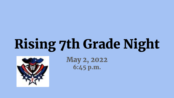## Rising 7th Grade Night



May 2, 2022 6:45 p.m.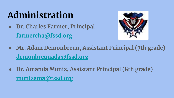## **Administration**

**● Dr. Charles Farmer, Principal [farmercha@fssd.org](mailto:farmercha@fssd.org)**



- **● Mr. Adam Demonbreun, Assistant Principal (7th grade) [demonbreunada@fssd.org](mailto:demonbreunada@fssd.org)**
- **● Dr. Amanda Muniz, Assistant Principal (8th grade) [munizama@fssd.org](mailto:munizama@fssd.org)**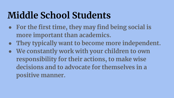## **Middle School Students**

- **● For the first time, they may find being social is more important than academics.**
- **● They typically want to become more independent.**
- **● We constantly work with your children to own responsibility for their actions, to make wise decisions and to advocate for themselves in a positive manner.**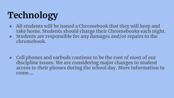## **Technology**

- **● All students will be issued a Chromebook that they will keep and take home. Students should charge their Chromebooks each night.**
- **● Students are responsible for any damages and/or repairs to the chromebook.**

**● Cell phones and earbuds continue to be the root of most of our discipline issues. We are considering major changes to student access to their phones during the school day. More information to come….**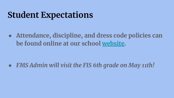#### **Student Expectations**

**● Attendance, discipline, and dress code policies can be found online at our school [website.](https://resources.finalsite.net/images/v1651520160/fssdorg/lnzlvpr4urttslpro2qt/FMS2021-2022handbook.pdf)** 

*● FMS Admin will visit the FIS 6th grade on May 11th!*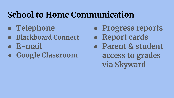#### **School to Home Communication**

- **● Telephone**
- **● Blackboard Connect**
- **● E-mail**
- **● Google Classroom**
- **● Progress reports**
- **● Report cards**
- **● Parent & student access to grades via Skyward**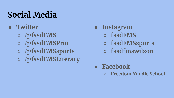### **Social Media**

- **● Twitter** 
	- **○ @fssdFMS**
	- **○ @fssdFMSPrin**
	- **○ @fssdFMSsports**
	- **○ @fssdFMSLiteracy**
- **● Instagram** 
	- **○ fssdFMS**
	- **○ fssdFMSsports**
	- **○ fssdfmswilson**
- **● Facebook** 
	- **○ Freedom Middle School**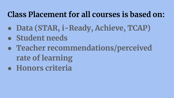#### **Class Placement for all courses is based on:**

- **● Data (STAR, i-Ready, Achieve, TCAP)**
- **● Student needs**
- **● Teacher recommendations/perceived rate of learning**
- **● Honors criteria**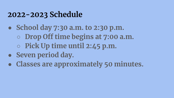#### **2022-2023 Schedule**

- **● School day 7:30 a.m. to 2:30 p.m.**
	- **○ Drop Off time begins at 7:00 a.m.**
	- **○ Pick Up time until 2:45 p.m.**
- **● Seven period day.**
- **● Classes are approximately 50 minutes.**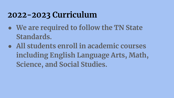#### **2022-2023 Curriculum**

- **● We are required to follow the TN State Standards.**
- **● All students enroll in academic courses including English Language Arts, Math, Science, and Social Studies.**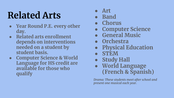## **Related Arts**

- **● Year Round P.E. every other day.**
- **● Related arts enrollment depends on interventions needed on a student by student basis.**
- **● Computer Science & World Language for HS credit are available for those who qualify**
- **● Art**
- **● Band**
- **● Chorus**
- **● Computer Science**
- **● General Music**
- **● Orchestra**
- **● Physical Education**
- **● STEM**
- **● Study Hall**
- **● World Language (French & Spanish)**

*Drama: These students meet after school and present one musical each year.*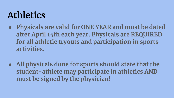## **Athletics**

- **● Physicals are valid for ONE YEAR and must be dated after April 15th each year. Physicals are REQUIRED for all athletic tryouts and participation in sports activities.**
- **● All physicals done for sports should state that the student-athlete may participate in athletics AND must be signed by the physician!**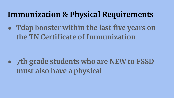#### **Immunization & Physical Requirements**

**● Tdap booster within the last five years on the TN Certificate of Immunization**

**● 7th grade students who are NEW to FSSD must also have a physical**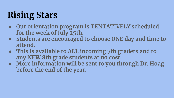## **Rising Stars**

- **● Our orientation program is TENTATIVELY scheduled for the week of July 25th.**
- **● Students are encouraged to choose ONE day and time to attend.**
- **● This is available to ALL incoming 7th graders and to any NEW 8th grade students at no cost.**
- **● More information will be sent to you through Dr. Hoag before the end of the year.**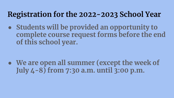#### **Registration for the 2022-2023 School Year**

**● Students will be provided an opportunity to complete course request forms before the end of this school year.** 

**● We are open all summer (except the week of July 4-8) from 7:30 a.m. until 3:00 p.m.**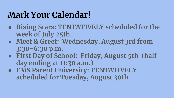#### **Mark Your Calendar!**

- **● Rising Stars: TENTATIVELY scheduled for the week of July 25th.**
- **● Meet & Greet: Wednesday, August 3rd from 3:30-6:30 p.m.**
- **● First Day of School: Friday, August 5th (half day ending at 11:30 a.m.)**
- **● FMS Parent University: TENTATIVELY scheduled for Tuesday, August 30th**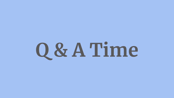# **Q & A Time**